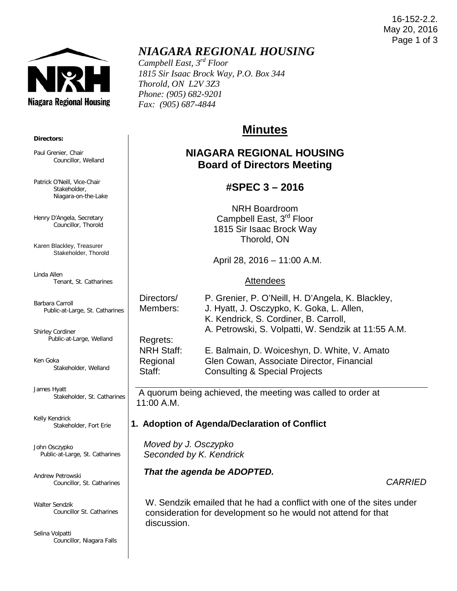16-152-2.2. May 20, 2016 Page 1 of 3



## **Directors:**

Paul Grenier, Chair Councillor, Welland

Patrick O'Neill, Vice-Chair Stakeholder, Niagara-on-the-Lake

Henry D'Angela, Secretary Councillor, Thorold

Karen Blackley, Treasurer Stakeholder, Thorold

Linda Allen Tenant, St. Catharines

Barbara Carroll Public-at-Large, St. Catharines

Shirley Cordiner Public-at-Large, Welland

Ken Goka Stakeholder, Welland

James Hyatt Stakeholder, St. Catharines

Kelly Kendrick Stakeholder, Fort Erie

John Osczypko Public-at-Large, St. Catharines

Andrew Petrowski Councillor, St. Catharines

Walter Sendzik Councillor St. Catharines

Selina Volpatti Councillor, Niagara Falls

# *NIAGARA REGIONAL HOUSING*

*Campbell East, 3rd Floor 1815 Sir Isaac Brock Way, P.O. Box 344 Thorold, ON L2V 3Z3 Phone: (905) 682-9201 Fax: (905) 687-4844*

# **Minutes**

# **NIAGARA REGIONAL HOUSING Board of Directors Meeting**

# **#SPEC 3 – 2016**

NRH Boardroom Campbell East, 3<sup>rd</sup> Floor 1815 Sir Isaac Brock Way Thorold, ON

April 28, 2016 – 11:00 A.M.

#### Attendees

Directors/ Members:

Regrets: Regional Staff:

P. Grenier, P. O'Neill, H. D'Angela, K. Blackley, J. Hyatt, J. Osczypko, K. Goka, L. Allen,

K. Kendrick, S. Cordiner, B. Carroll,

A. Petrowski, S. Volpatti, W. Sendzik at 11:55 A.M.

NRH Staff: E. Balmain, D. Woiceshyn, D. White, V. Amato Glen Cowan, Associate Director, Financial Consulting & Special Projects

 A quorum being achieved, the meeting was called to order at 11:00 A.M.

# **1. Adoption of Agenda/Declaration of Conflict**

 *Moved by J. Osczypko Seconded by K. Kendrick*

## *That the agenda be ADOPTED.*

# *CARRIED*

W. Sendzik emailed that he had a conflict with one of the sites under consideration for development so he would not attend for that discussion.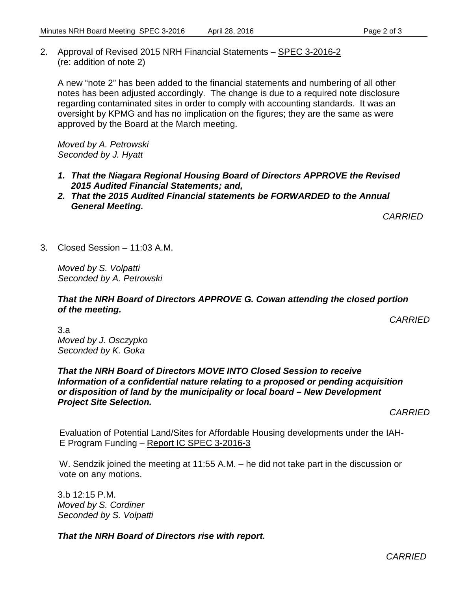2. Approval of Revised 2015 NRH Financial Statements – SPEC 3-2016-2 (re: addition of note 2)

A new "note 2" has been added to the financial statements and numbering of all other notes has been adjusted accordingly. The change is due to a required note disclosure regarding contaminated sites in order to comply with accounting standards. It was an oversight by KPMG and has no implication on the figures; they are the same as were approved by the Board at the March meeting.

*Moved by A. Petrowski Seconded by J. Hyatt*

- *1. That the Niagara Regional Housing Board of Directors APPROVE the Revised 2015 Audited Financial Statements; and,*
- *2. That the 2015 Audited Financial statements be FORWARDED to the Annual General Meeting.*

*CARRIED*

3. Closed Session – 11:03 A.M.

*Moved by S. Volpatti Seconded by A. Petrowski*

#### *That the NRH Board of Directors APPROVE G. Cowan attending the closed portion of the meeting.*

*CARRIED*

3.a *Moved by J. Osczypko Seconded by K. Goka*

#### *That the NRH Board of Directors MOVE INTO Closed Session to receive Information of a confidential nature relating to a proposed or pending acquisition or disposition of land by the municipality or local board – New Development Project Site Selection.*

*CARRIED*

Evaluation of Potential Land/Sites for Affordable Housing developments under the IAH-E Program Funding – Report IC SPEC 3-2016-3

W. Sendzik joined the meeting at 11:55 A.M. – he did not take part in the discussion or vote on any motions.

 3.b 12:15 P.M. *Moved by S. Cordiner Seconded by S. Volpatti*

*That the NRH Board of Directors rise with report.*